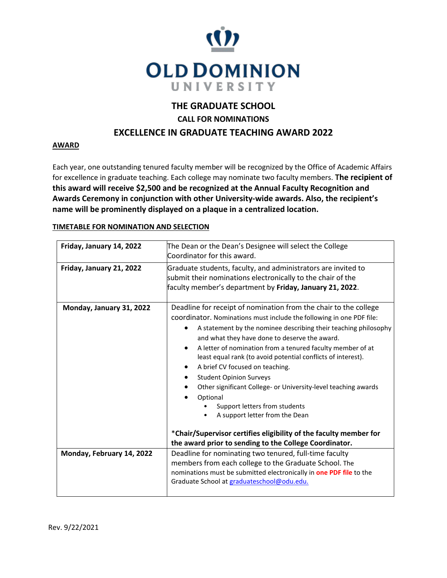

## **THE GRADUATE SCHOOL**

**CALL FOR NOMINATIONS**

## **EXCELLENCE IN GRADUATE TEACHING AWARD 2022**

## **AWARD**

Each year, one outstanding tenured faculty member will be recognized by the Office of Academic Affairs for excellence in graduate teaching. Each college may nominate two faculty members. **The recipient of this award will receive \$2,500 and be recognized at the Annual Faculty Recognition and Awards Ceremony in conjunction with other University-wide awards. Also, the recipient's name will be prominently displayed on a plaque in a centralized location.**

|  |  | TIMETABLE FOR NOMINATION AND SELECTION |  |
|--|--|----------------------------------------|--|
|--|--|----------------------------------------|--|

| Friday, January 14, 2022  | The Dean or the Dean's Designee will select the College                                                                                                                                                                                                                                                                                                                                                                                                                                                                                                                                                                                                                                                                                                      |  |
|---------------------------|--------------------------------------------------------------------------------------------------------------------------------------------------------------------------------------------------------------------------------------------------------------------------------------------------------------------------------------------------------------------------------------------------------------------------------------------------------------------------------------------------------------------------------------------------------------------------------------------------------------------------------------------------------------------------------------------------------------------------------------------------------------|--|
|                           | Coordinator for this award.                                                                                                                                                                                                                                                                                                                                                                                                                                                                                                                                                                                                                                                                                                                                  |  |
| Friday, January 21, 2022  | Graduate students, faculty, and administrators are invited to<br>submit their nominations electronically to the chair of the<br>faculty member's department by Friday, January 21, 2022.                                                                                                                                                                                                                                                                                                                                                                                                                                                                                                                                                                     |  |
| Monday, January 31, 2022  | Deadline for receipt of nomination from the chair to the college<br>coordinator. Nominations must include the following in one PDF file:<br>A statement by the nominee describing their teaching philosophy<br>and what they have done to deserve the award.<br>A letter of nomination from a tenured faculty member of at<br>$\bullet$<br>least equal rank (to avoid potential conflicts of interest).<br>A brief CV focused on teaching.<br><b>Student Opinion Surveys</b><br>Other significant College- or University-level teaching awards<br>Optional<br>Support letters from students<br>A support letter from the Dean<br>*Chair/Supervisor certifies eligibility of the faculty member for<br>the award prior to sending to the College Coordinator. |  |
| Monday, February 14, 2022 | Deadline for nominating two tenured, full-time faculty                                                                                                                                                                                                                                                                                                                                                                                                                                                                                                                                                                                                                                                                                                       |  |
|                           | members from each college to the Graduate School. The                                                                                                                                                                                                                                                                                                                                                                                                                                                                                                                                                                                                                                                                                                        |  |
|                           | nominations must be submitted electronically in one PDF file to the<br>Graduate School at graduateschool@odu.edu.                                                                                                                                                                                                                                                                                                                                                                                                                                                                                                                                                                                                                                            |  |
|                           |                                                                                                                                                                                                                                                                                                                                                                                                                                                                                                                                                                                                                                                                                                                                                              |  |